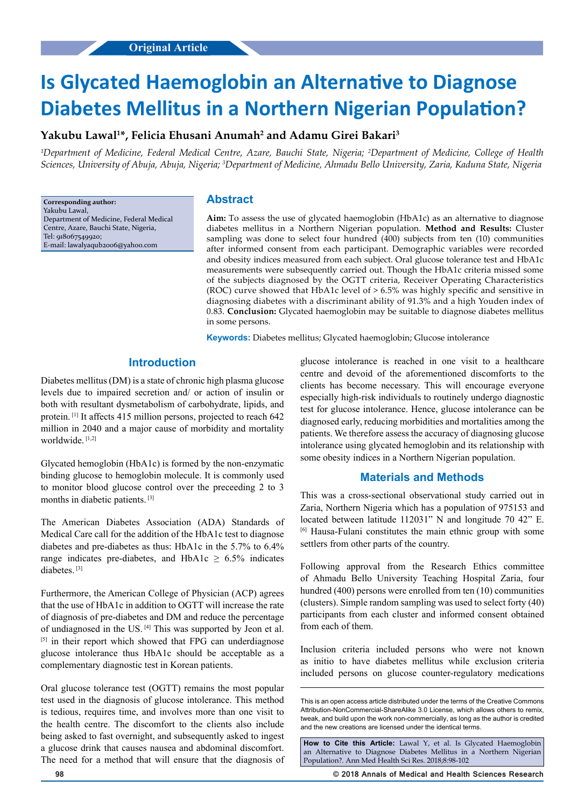# **Is Glycated Haemoglobin an Alternative to Diagnose Diabetes Mellitus in a Northern Nigerian Population?**

## **Yakubu Lawal1 \*, Felicia Ehusani Anumah2 and Adamu Girei Bakari3**

*1 Department of Medicine, Federal Medical Centre, Azare, Bauchi State, Nigeria; 2 Department of Medicine, College of Health Sciences, University of Abuja, Abuja, Nigeria; 3 Department of Medicine, Ahmadu Bello University, Zaria, Kaduna State, Nigeria*

**Corresponding author:** Yakubu Lawal, Department of Medicine, Federal Medical Centre, Azare, Bauchi State, Nigeria, Tel: 918067549920; E-mail: lawalyaqub2006@yahoo.com

## **Abstract**

**Aim:** To assess the use of glycated haemoglobin (HbA1c) as an alternative to diagnose diabetes mellitus in a Northern Nigerian population. **Method and Results:** Cluster sampling was done to select four hundred (400) subjects from ten (10) communities after informed consent from each participant. Demographic variables were recorded and obesity indices measured from each subject. Oral glucose tolerance test and HbA1c measurements were subsequently carried out. Though the HbA1c criteria missed some of the subjects diagnosed by the OGTT criteria, Receiver Operating Characteristics (ROC) curve showed that HbA1c level of > 6.5% was highly specific and sensitive in diagnosing diabetes with a discriminant ability of 91.3% and a high Youden index of 0.83. **Conclusion:** Glycated haemoglobin may be suitable to diagnose diabetes mellitus in some persons.

**Keywords:** Diabetes mellitus; Glycated haemoglobin; Glucose intolerance

## **Introduction**

Diabetes mellitus (DM) is a state of chronic high plasma glucose levels due to impaired secretion and/ or action of insulin or both with resultant dysmetabolism of carbohydrate, lipids, and protein. [1] It affects 415 million persons, projected to reach 642 million in 2040 and a major cause of morbidity and mortality worldwide. [1,2]

Glycated hemoglobin (HbA1c) is formed by the non-enzymatic binding glucose to hemoglobin molecule. It is commonly used to monitor blood glucose control over the preceeding 2 to 3 months in diabetic patients. [3]

The American Diabetes Association (ADA) Standards of Medical Care call for the addition of the HbA1c test to diagnose diabetes and pre-diabetes as thus: HbA1c in the 5.7% to 6.4% range indicates pre-diabetes, and HbA1c  $\geq$  6.5% indicates diabetes. [3]

Furthermore, the American College of Physician (ACP) agrees that the use of HbA1c in addition to OGTT will increase the rate of diagnosis of pre-diabetes and DM and reduce the percentage of undiagnosed in the US. [4] This was supported by Jeon et al. [5] in their report which showed that FPG can underdiagnose glucose intolerance thus HbA1c should be acceptable as a complementary diagnostic test in Korean patients.

Oral glucose tolerance test (OGTT) remains the most popular test used in the diagnosis of glucose intolerance. This method is tedious, requires time, and involves more than one visit to the health centre. The discomfort to the clients also include being asked to fast overnight, and subsequently asked to ingest a glucose drink that causes nausea and abdominal discomfort. The need for a method that will ensure that the diagnosis of glucose intolerance is reached in one visit to a healthcare centre and devoid of the aforementioned discomforts to the clients has become necessary. This will encourage everyone especially high-risk individuals to routinely undergo diagnostic test for glucose intolerance. Hence, glucose intolerance can be diagnosed early, reducing morbidities and mortalities among the patients. We therefore assess the accuracy of diagnosing glucose intolerance using glycated hemoglobin and its relationship with some obesity indices in a Northern Nigerian population.

## **Materials and Methods**

This was a cross-sectional observational study carried out in Zaria, Northern Nigeria which has a population of 975153 and located between latitude 112031" N and longitude 70 42" E. [6] Hausa-Fulani constitutes the main ethnic group with some settlers from other parts of the country.

Following approval from the Research Ethics committee of Ahmadu Bello University Teaching Hospital Zaria, four hundred (400) persons were enrolled from ten (10) communities (clusters). Simple random sampling was used to select forty (40) participants from each cluster and informed consent obtained from each of them.

Inclusion criteria included persons who were not known as initio to have diabetes mellitus while exclusion criteria included persons on glucose counter-regulatory medications

**How to Cite this Article:** Lawal Y, et al. Is Glycated Haemoglobin an Alternative to Diagnose Diabetes Mellitus in a Northern Nigerian Population?. Ann Med Health Sci Res. 2018;8:98-102

**98 © 2018 Annals of Medical and Health Sciences Research** 

This is an open access article distributed under the terms of the Creative Commons Attribution-NonCommercial-ShareAlike 3.0 License, which allows others to remix, tweak, and build upon the work non‑commercially, as long as the author is credited and the new creations are licensed under the identical terms.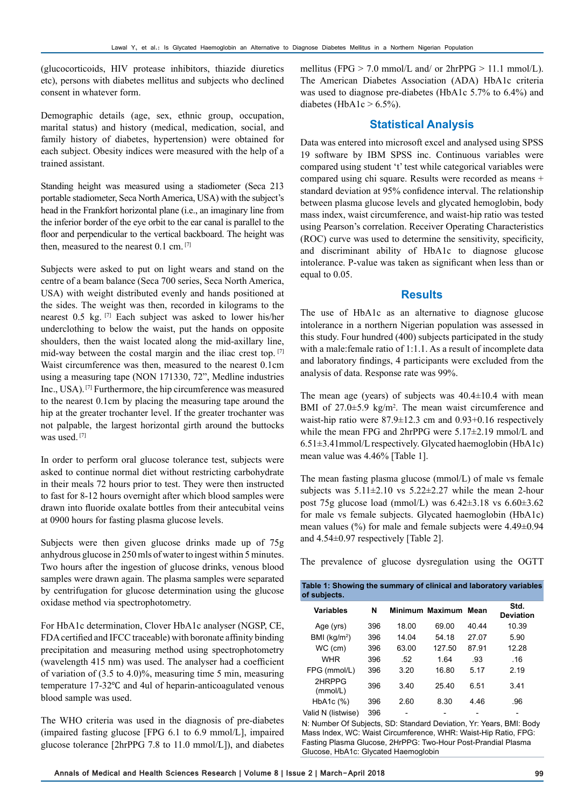(glucocorticoids, HIV protease inhibitors, thiazide diuretics etc), persons with diabetes mellitus and subjects who declined consent in whatever form.

Demographic details (age, sex, ethnic group, occupation, marital status) and history (medical, medication, social, and family history of diabetes, hypertension) were obtained for each subject. Obesity indices were measured with the help of a trained assistant.

Standing height was measured using a stadiometer (Seca 213 portable stadiometer, Seca North America, USA) with the subject's head in the Frankfort horizontal plane (i.e., an imaginary line from the inferior border of the eye orbit to the ear canal is parallel to the floor and perpendicular to the vertical backboard. The height was then, measured to the nearest 0.1 cm. [7]

Subjects were asked to put on light wears and stand on the centre of a beam balance (Seca 700 series, Seca North America, USA) with weight distributed evenly and hands positioned at the sides. The weight was then, recorded in kilograms to the nearest 0.5 kg. [7] Each subject was asked to lower his/her underclothing to below the waist, put the hands on opposite shoulders, then the waist located along the mid-axillary line, mid-way between the costal margin and the iliac crest top. [7] Waist circumference was then, measured to the nearest 0.1cm using a measuring tape (NON 171330, 72", Medline industries Inc., USA). [7] Furthermore, the hip circumference was measured to the nearest 0.1cm by placing the measuring tape around the hip at the greater trochanter level. If the greater trochanter was not palpable, the largest horizontal girth around the buttocks was used. [7]

In order to perform oral glucose tolerance test, subjects were asked to continue normal diet without restricting carbohydrate in their meals 72 hours prior to test. They were then instructed to fast for 8-12 hours overnight after which blood samples were drawn into fluoride oxalate bottles from their antecubital veins at 0900 hours for fasting plasma glucose levels.

Subjects were then given glucose drinks made up of 75g anhydrous glucose in 250 mls of water to ingest within 5 minutes. Two hours after the ingestion of glucose drinks, venous blood samples were drawn again. The plasma samples were separated by centrifugation for glucose determination using the glucose oxidase method via spectrophotometry.

For HbA1c determination, Clover HbA1c analyser (NGSP, CE, FDA certified and IFCC traceable) with boronate affinity binding precipitation and measuring method using spectrophotometry (wavelength 415 nm) was used. The analyser had a coefficient of variation of (3.5 to 4.0)%, measuring time 5 min, measuring temperature 17-32℃ and 4ul of heparin-anticoagulated venous blood sample was used.

The WHO criteria was used in the diagnosis of pre-diabetes (impaired fasting glucose [FPG 6.1 to 6.9 mmol/L], impaired glucose tolerance [2hrPPG 7.8 to 11.0 mmol/L]), and diabetes mellitus (FPG  $> 7.0$  mmol/L and/ or 2hrPPG  $> 11.1$  mmol/L). The American Diabetes Association (ADA) HbA1c criteria was used to diagnose pre-diabetes (HbA1c 5.7% to 6.4%) and diabetes (HbA1c  $> 6.5\%$ ).

## **Statistical Analysis**

Data was entered into microsoft excel and analysed using SPSS 19 software by IBM SPSS inc. Continuous variables were compared using student 't' test while categorical variables were compared using chi square. Results were recorded as means + standard deviation at 95% confidence interval. The relationship between plasma glucose levels and glycated hemoglobin, body mass index, waist circumference, and waist-hip ratio was tested using Pearson's correlation. Receiver Operating Characteristics (ROC) curve was used to determine the sensitivity, specificity, and discriminant ability of HbA1c to diagnose glucose intolerance. P-value was taken as significant when less than or equal to 0.05.

## **Results**

The use of HbA1c as an alternative to diagnose glucose intolerance in a northern Nigerian population was assessed in this study. Four hundred (400) subjects participated in the study with a male: female ratio of 1:1.1. As a result of incomplete data and laboratory findings, 4 participants were excluded from the analysis of data. Response rate was 99%.

The mean age (years) of subjects was  $40.4\pm10.4$  with mean BMI of 27.0 $\pm$ 5.9 kg/m<sup>2</sup>. The mean waist circumference and waist-hip ratio were 87.9±12.3 cm and 0.93+0.16 respectively while the mean FPG and 2hrPPG were 5.17±2.19 mmol/L and 6.51±3.41mmol/L respectively. Glycated haemoglobin (HbA1c) mean value was 4.46% [Table 1].

The mean fasting plasma glucose (mmol/L) of male vs female subjects was  $5.11\pm2.10$  vs  $5.22\pm2.27$  while the mean 2-hour post 75g glucose load (mmol/L) was 6.42±3.18 vs 6.60±3.62 for male vs female subjects. Glycated haemoglobin (HbA1c) mean values (%) for male and female subjects were 4.49±0.94 and 4.54±0.97 respectively [Table 2].

The prevalence of glucose dysregulation using the OGTT

| Table 1: Showing the summary of clinical and laboratory variables<br>of subjects. |     |       |                      |       |                          |  |  |  |  |
|-----------------------------------------------------------------------------------|-----|-------|----------------------|-------|--------------------------|--|--|--|--|
| <b>Variables</b>                                                                  | N   |       | Minimum Maximum Mean |       | Std.<br><b>Deviation</b> |  |  |  |  |
| Age (yrs)                                                                         | 396 | 18.00 | 69.00                | 40.44 | 10.39                    |  |  |  |  |
| BMI (kg/m <sup>2</sup> )                                                          | 396 | 14.04 | 54.18                | 27.07 | 5.90                     |  |  |  |  |
| WC (cm)                                                                           | 396 | 63.00 | 127.50               | 87.91 | 12.28                    |  |  |  |  |
| <b>WHR</b>                                                                        | 396 | .52   | 1.64                 | .93   | .16                      |  |  |  |  |
| FPG (mmol/L)                                                                      | 396 | 3.20  | 16.80                | 5.17  | 2.19                     |  |  |  |  |
| 2HRPPG<br>(mmol/L)                                                                | 396 | 3.40  | 25.40                | 6.51  | 3.41                     |  |  |  |  |
| HbA <sub>1</sub> c $(%)$                                                          | 396 | 2.60  | 8.30                 | 4.46  | .96                      |  |  |  |  |
| Valid N (listwise)                                                                | 396 |       |                      |       |                          |  |  |  |  |

N: Number Of Subjects, SD: Standard Deviation, Yr: Years, BMI: Body Mass Index, WC: Waist Circumference, WHR: Waist-Hip Ratio, FPG: Fasting Plasma Glucose, 2HrPPG: Two-Hour Post-Prandial Plasma Glucose, HbA1c: Glycated Haemoglobin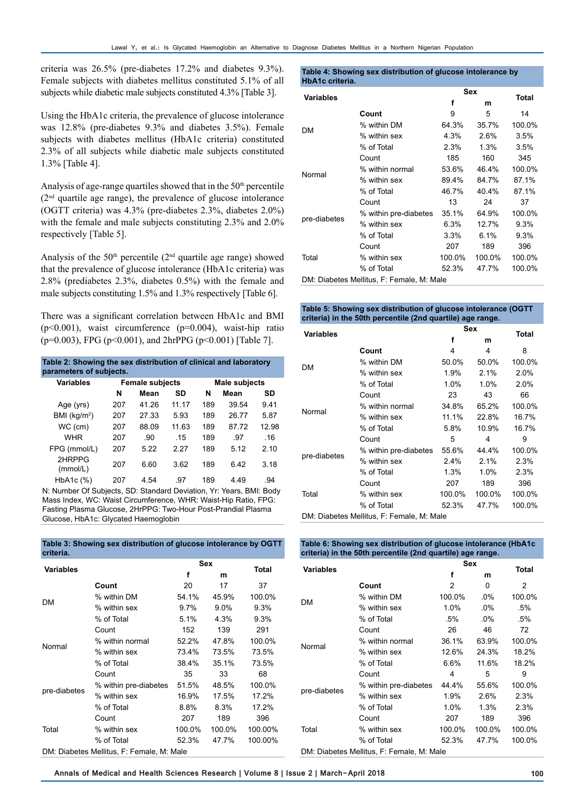criteria was 26.5% (pre-diabetes 17.2% and diabetes 9.3%). Female subjects with diabetes mellitus constituted 5.1% of all subjects while diabetic male subjects constituted 4.3% [Table 3].

Using the HbA1c criteria, the prevalence of glucose intolerance was 12.8% (pre-diabetes 9.3% and diabetes 3.5%). Female subjects with diabetes mellitus (HbA1c criteria) constituted 2.3% of all subjects while diabetic male subjects constituted 1.3% [Table 4].

Analysis of age-range quartiles showed that in the  $50<sup>th</sup>$  percentile  $(2<sup>nd</sup>$  quartile age range), the prevalence of glucose intolerance (OGTT criteria) was 4.3% (pre-diabetes 2.3%, diabetes 2.0%) with the female and male subjects constituting 2.3% and 2.0% respectively [Table 5].

Analysis of the  $50<sup>th</sup>$  percentile ( $2<sup>nd</sup>$  quartile age range) showed that the prevalence of glucose intolerance (HbA1c criteria) was 2.8% (prediabetes 2.3%, diabetes 0.5%) with the female and male subjects constituting 1.5% and 1.3% respectively [Table 6].

There was a significant correlation between HbA1c and BMI  $(p<0.001)$ , waist circumference  $(p=0.004)$ , waist-hip ratio (p=0.003), FPG (p<0.001), and 2hrPPG (p<0.001) [Table 7].

| Table 2: Showing the sex distribution of clinical and laboratory<br>parameters of subjects. |     |                        |       |               |       |       |  |  |  |
|---------------------------------------------------------------------------------------------|-----|------------------------|-------|---------------|-------|-------|--|--|--|
| <b>Variables</b>                                                                            |     | <b>Female subjects</b> |       | Male subjects |       |       |  |  |  |
|                                                                                             | N   | Mean                   | SD    | N             | Mean  | SD    |  |  |  |
| Age (yrs)                                                                                   | 207 | 41 26                  | 11 17 | 189           | 39.54 | 9.41  |  |  |  |
| BMI (kg/m <sup>2</sup> )                                                                    | 207 | 27.33                  | 5.93  | 189           | 26.77 | 5.87  |  |  |  |
| $WC$ (cm)                                                                                   | 207 | 88.09                  | 11 63 | 189           | 8772  | 12.98 |  |  |  |
| <b>WHR</b>                                                                                  | 207 | .90                    | -15   | 189           | .97   | .16   |  |  |  |
| FPG (mmol/L)                                                                                | 207 | 522                    | 227   | 189           | 5 12  | 210   |  |  |  |
| 2HRPPG<br>(mmol/L)                                                                          | 207 | 6.60                   | 3.62  | 189           | 642   | 3.18  |  |  |  |
| HbA <sub>1</sub> c $(\%)$                                                                   | 207 | 4.54                   | .97   | 189           | 4 4 9 | 94    |  |  |  |

N: Number Of Subjects, SD: Standard Deviation, Yr: Years, BMI: Body Mass Index, WC: Waist Circumference, WHR: Waist-Hip Ratio, FPG: Fasting Plasma Glucose, 2HrPPG: Two-Hour Post-Prandial Plasma Glucose, HbA1c: Glycated Haemoglobin

**Table 3: Showing sex distribution of glucose intolerance by OGTT criteria.**

| <b>Variables</b> |                           | Sex                                                                                                                                                                                                                                                                                                                                                                                      |    |    |
|------------------|---------------------------|------------------------------------------------------------------------------------------------------------------------------------------------------------------------------------------------------------------------------------------------------------------------------------------------------------------------------------------------------------------------------------------|----|----|
|                  |                           | f                                                                                                                                                                                                                                                                                                                                                                                        | m  |    |
|                  | Count                     | 20                                                                                                                                                                                                                                                                                                                                                                                       | 17 | 37 |
| DM               | % within DM               | <b>Total</b><br>100.0%<br>54.1%<br>45.9%<br>9.7%<br>$9.0\%$<br>9.3%<br>5.1%<br>4.3%<br>$9.3\%$<br>139<br>291<br>152<br>100.0%<br>52.2%<br>47.8%<br>73.4%<br>73.5%<br>73.5%<br>35.1%<br>38.4%<br>73.5%<br>68<br>35<br>33<br>100.0%<br>51.5%<br>48.5%<br>16.9%<br>17.2%<br>17.5%<br>8.8%<br>8.3%<br>17.2%<br>207<br>189<br>396<br>100.00%<br>100.0%<br>100.0%<br>47.7%<br>100.00%<br>52.3% |    |    |
|                  | % within sex              |                                                                                                                                                                                                                                                                                                                                                                                          |    |    |
|                  | % of Total                |                                                                                                                                                                                                                                                                                                                                                                                          |    |    |
|                  | Count                     |                                                                                                                                                                                                                                                                                                                                                                                          |    |    |
| Normal           | % within normal           |                                                                                                                                                                                                                                                                                                                                                                                          |    |    |
|                  | % within sex              |                                                                                                                                                                                                                                                                                                                                                                                          |    |    |
|                  | % of Total                |                                                                                                                                                                                                                                                                                                                                                                                          |    |    |
|                  | Count                     |                                                                                                                                                                                                                                                                                                                                                                                          |    |    |
|                  | % within pre-diabetes     |                                                                                                                                                                                                                                                                                                                                                                                          |    |    |
| pre-diabetes     | % within sex              |                                                                                                                                                                                                                                                                                                                                                                                          |    |    |
|                  | % of Total                |                                                                                                                                                                                                                                                                                                                                                                                          |    |    |
|                  | Count                     |                                                                                                                                                                                                                                                                                                                                                                                          |    |    |
| Total            | % within sex              |                                                                                                                                                                                                                                                                                                                                                                                          |    |    |
|                  | % of Total                |                                                                                                                                                                                                                                                                                                                                                                                          |    |    |
|                  | $\mathsf{D}^{\mathsf{A}}$ |                                                                                                                                                                                                                                                                                                                                                                                          |    |    |

#### **Table 4: Showing sex distribution of glucose intolerance by HbA1c criteria.**

| <b>Variables</b> |                                                                                                                                                                                                                                                                                                             | <b>Sex</b><br>f<br>m<br>9<br>5<br>64.3%<br>35.7%<br>4.3%<br>2.6%<br>2.3%<br>1.3%<br>160<br>185<br>53.6%<br>46.4%<br>89.4%<br>84.7%<br>46.7%<br>40.4%<br>13<br>24<br>64.9% |       |        |  |
|------------------|-------------------------------------------------------------------------------------------------------------------------------------------------------------------------------------------------------------------------------------------------------------------------------------------------------------|---------------------------------------------------------------------------------------------------------------------------------------------------------------------------|-------|--------|--|
|                  | Count                                                                                                                                                                                                                                                                                                       |                                                                                                                                                                           |       | 14     |  |
|                  | % within DM<br>% within sex<br>% of Total<br>Count<br>% within normal<br>% within sex<br>% of Total<br>Count<br>35.1%<br>% within pre-diabetes<br>% within sex<br>6.3%<br>12.7%<br>% of Total<br>6.1%<br>$3.3\%$<br>207<br>189<br>Count<br>% within sex<br>100.0%<br>100.0%<br>% of Total<br>52.3%<br>47.7% | 100.0%                                                                                                                                                                    |       |        |  |
| DM               |                                                                                                                                                                                                                                                                                                             |                                                                                                                                                                           |       | 3.5%   |  |
|                  | <b>Total</b><br>3.5%<br>345<br>37<br>9.3%<br>9.3%<br>396                                                                                                                                                                                                                                                    |                                                                                                                                                                           |       |        |  |
|                  |                                                                                                                                                                                                                                                                                                             |                                                                                                                                                                           |       |        |  |
| Normal           | DM: Diabetes Mellitus, F: Female, M: Male                                                                                                                                                                                                                                                                   | 100.0%                                                                                                                                                                    |       |        |  |
|                  |                                                                                                                                                                                                                                                                                                             |                                                                                                                                                                           |       | 87.1%  |  |
|                  |                                                                                                                                                                                                                                                                                                             |                                                                                                                                                                           | 87.1% |        |  |
|                  |                                                                                                                                                                                                                                                                                                             |                                                                                                                                                                           |       |        |  |
|                  |                                                                                                                                                                                                                                                                                                             |                                                                                                                                                                           |       | 100.0% |  |
| pre-diabetes     |                                                                                                                                                                                                                                                                                                             |                                                                                                                                                                           |       |        |  |
|                  |                                                                                                                                                                                                                                                                                                             |                                                                                                                                                                           |       |        |  |
|                  |                                                                                                                                                                                                                                                                                                             |                                                                                                                                                                           |       |        |  |
| Total            |                                                                                                                                                                                                                                                                                                             |                                                                                                                                                                           |       | 100.0% |  |
|                  |                                                                                                                                                                                                                                                                                                             |                                                                                                                                                                           |       | 100.0% |  |
|                  |                                                                                                                                                                                                                                                                                                             |                                                                                                                                                                           |       |        |  |

#### **Table 5: Showing sex distribution of glucose intolerance (OGTT criteria) in the 50th percentile (2nd quartile) age range.**

| <b>Variables</b> |                                                                                                                                                                                                                                                                                                                                                                                                                                                                                                     |       |       |        |
|------------------|-----------------------------------------------------------------------------------------------------------------------------------------------------------------------------------------------------------------------------------------------------------------------------------------------------------------------------------------------------------------------------------------------------------------------------------------------------------------------------------------------------|-------|-------|--------|
|                  |                                                                                                                                                                                                                                                                                                                                                                                                                                                                                                     | f     | m     |        |
|                  | Count                                                                                                                                                                                                                                                                                                                                                                                                                                                                                               | 4     | 4     | 8      |
| DM               | % within DM                                                                                                                                                                                                                                                                                                                                                                                                                                                                                         | 50.0% | 50.0% | 100.0% |
|                  | % within sex                                                                                                                                                                                                                                                                                                                                                                                                                                                                                        | 1.9%  | 2.1%  | 2.0%   |
|                  | <b>Total</b><br>1.0%<br>% of Total<br>1.0%<br>2.0%<br>23<br>43<br>66<br>Count<br>% within normal<br>34.8%<br>65.2%<br>100.0%<br>% within sex<br>11.1%<br>16.7%<br>22.8%<br>16.7%<br>% of Total<br>5.8%<br>10.9%<br>5<br>9<br>Count<br>4<br>100.0%<br>% within pre-diabetes<br>55.6%<br>44.4%<br>% within sex<br>2.1%<br>$2.4\%$<br>2.3%<br>% of Total<br>1.0%<br>1.3%<br>2.3%<br>207<br>189<br>396<br>Count<br>100.0%<br>100.0%<br>100.0%<br>% within sex<br>% of Total<br>52.3%<br>47.7%<br>100.0% |       |       |        |
|                  |                                                                                                                                                                                                                                                                                                                                                                                                                                                                                                     | Sex   |       |        |
|                  |                                                                                                                                                                                                                                                                                                                                                                                                                                                                                                     |       |       |        |
| Normal           |                                                                                                                                                                                                                                                                                                                                                                                                                                                                                                     |       |       |        |
|                  | pre-diabetes                                                                                                                                                                                                                                                                                                                                                                                                                                                                                        |       |       |        |
|                  |                                                                                                                                                                                                                                                                                                                                                                                                                                                                                                     |       |       |        |
|                  | DM: Diabetes Mellitus, F: Female, M: Male                                                                                                                                                                                                                                                                                                                                                                                                                                                           |       |       |        |
|                  |                                                                                                                                                                                                                                                                                                                                                                                                                                                                                                     |       |       |        |
|                  |                                                                                                                                                                                                                                                                                                                                                                                                                                                                                                     |       |       |        |
|                  |                                                                                                                                                                                                                                                                                                                                                                                                                                                                                                     |       |       |        |
| Total            |                                                                                                                                                                                                                                                                                                                                                                                                                                                                                                     |       |       |        |
|                  |                                                                                                                                                                                                                                                                                                                                                                                                                                                                                                     |       |       |        |
|                  |                                                                                                                                                                                                                                                                                                                                                                                                                                                                                                     |       |       |        |

**Table 6: Showing sex distribution of glucose intolerance (HbA1c criteria) in the 50th percentile (2nd quartile) age range.**

| <b>Variables</b> |                                                                                                                                                                                                                                                                                                                                                                                                                                                                                                                                                                                      |                                      |   |   |
|------------------|--------------------------------------------------------------------------------------------------------------------------------------------------------------------------------------------------------------------------------------------------------------------------------------------------------------------------------------------------------------------------------------------------------------------------------------------------------------------------------------------------------------------------------------------------------------------------------------|--------------------------------------|---|---|
|                  |                                                                                                                                                                                                                                                                                                                                                                                                                                                                                                                                                                                      | f                                    | m |   |
|                  | Count                                                                                                                                                                                                                                                                                                                                                                                                                                                                                                                                                                                | $\mathcal{P}$                        | 0 | 2 |
| <b>DM</b>        | Sex<br>Total<br>100.0%<br>% within DM<br>$.0\%$<br>% within sex<br>1.0%<br>$.0\%$<br>.5%<br>% of Total<br>$.5\%$<br>$.0\%$<br>.5%<br>72<br>26<br>Count<br>46<br>% within normal<br>36.1%<br>63.9%<br>% within sex<br>12.6%<br>24.3%<br>18.2%<br>% of Total<br>6.6%<br>11.6%<br>18.2%<br>Count<br>5<br>9<br>4<br>% within pre-diabetes<br>44.4%<br>55.6%<br>% within sex<br>1.9%<br>2.6%<br>2.3%<br>% of Total<br>1.0%<br>1.3%<br>2.3%<br>207<br>189<br>396<br>Count<br>100.0%<br>% within sex<br>100.0%<br>% of Total<br>52.3%<br>47.7%<br>DM: Diabetes Mellitus, F: Female, M: Male | 100.0%                               |   |   |
|                  |                                                                                                                                                                                                                                                                                                                                                                                                                                                                                                                                                                                      |                                      |   |   |
|                  |                                                                                                                                                                                                                                                                                                                                                                                                                                                                                                                                                                                      |                                      |   |   |
|                  |                                                                                                                                                                                                                                                                                                                                                                                                                                                                                                                                                                                      |                                      |   |   |
| Normal           |                                                                                                                                                                                                                                                                                                                                                                                                                                                                                                                                                                                      | 100.0%<br>100.0%<br>100.0%<br>100.0% |   |   |
|                  |                                                                                                                                                                                                                                                                                                                                                                                                                                                                                                                                                                                      |                                      |   |   |
|                  |                                                                                                                                                                                                                                                                                                                                                                                                                                                                                                                                                                                      |                                      |   |   |
|                  |                                                                                                                                                                                                                                                                                                                                                                                                                                                                                                                                                                                      |                                      |   |   |
|                  |                                                                                                                                                                                                                                                                                                                                                                                                                                                                                                                                                                                      |                                      |   |   |
| pre-diabetes     |                                                                                                                                                                                                                                                                                                                                                                                                                                                                                                                                                                                      |                                      |   |   |
|                  |                                                                                                                                                                                                                                                                                                                                                                                                                                                                                                                                                                                      |                                      |   |   |
|                  |                                                                                                                                                                                                                                                                                                                                                                                                                                                                                                                                                                                      |                                      |   |   |
| Total            |                                                                                                                                                                                                                                                                                                                                                                                                                                                                                                                                                                                      |                                      |   |   |
|                  |                                                                                                                                                                                                                                                                                                                                                                                                                                                                                                                                                                                      |                                      |   |   |
|                  |                                                                                                                                                                                                                                                                                                                                                                                                                                                                                                                                                                                      |                                      |   |   |

DM: Diabetes Mellitus, F: Female, M: Male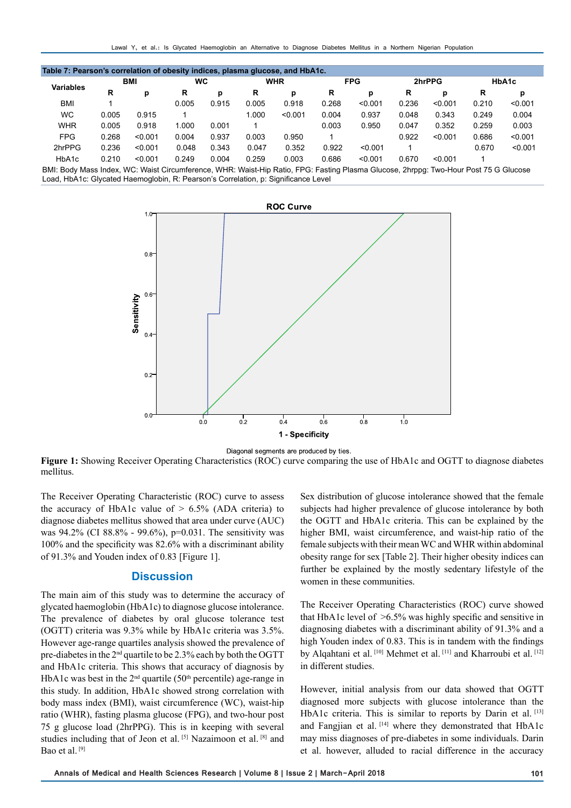| Table 7: Pearson's correlation of obesity indices, plasma glucose, and HbA1c.                                                         |       |            |       |       |       |                          |       |         |        |         |       |         |
|---------------------------------------------------------------------------------------------------------------------------------------|-------|------------|-------|-------|-------|--------------------------|-------|---------|--------|---------|-------|---------|
| Variables                                                                                                                             |       | <b>BMI</b> | WC    |       |       | <b>WHR</b><br><b>FPG</b> |       |         | 2hrPPG |         | HbA1c |         |
|                                                                                                                                       | R     | р          | R     | р     | R     | р                        | R     | р       | R      | р       | R     | р       |
| <b>BMI</b>                                                                                                                            |       |            | 0.005 | 0.915 | 0.005 | 0.918                    | 0.268 | < 0.001 | 0.236  | < 0.001 | 0.210 | < 0.001 |
| <b>WC</b>                                                                                                                             | 0.005 | 0.915      |       |       | 1.000 | < 0.001                  | 0.004 | 0.937   | 0.048  | 0.343   | 0.249 | 0.004   |
| <b>WHR</b>                                                                                                                            | 0.005 | 0.918      | 1.000 | 0.001 |       |                          | 0.003 | 0.950   | 0.047  | 0.352   | 0.259 | 0.003   |
| <b>FPG</b>                                                                                                                            | 0.268 | < 0.001    | 0.004 | 0.937 | 0.003 | 0.950                    |       |         | 0.922  | < 0.001 | 0.686 | < 0.001 |
| 2hrPPG                                                                                                                                | 0.236 | < 0.001    | 0.048 | 0.343 | 0.047 | 0.352                    | 0.922 | < 0.001 |        |         | 0.670 | < 0.001 |
| HbA1c                                                                                                                                 | 0.210 | < 0.001    | 0.249 | 0.004 | 0.259 | 0.003                    | 0.686 | < 0.001 | 0.670  | < 0.001 |       |         |
| DML; Redu Mess Indox, WC; Weist Circumference, WILD; Weist Lin Retis, EDC; Essting Disema Clusses, 2brang; Two Hour Rest 75 C Clusses |       |            |       |       |       |                          |       |         |        |         |       |         |

BMI: Body Mass Index, WC: Waist Circumference, WHR: Waist-Hip Ratio, FPG: Fasting Plasma Glucose, 2hrppg: Two-Hour Post 75 G Glucose Load, HbA1c: Glycated Haemoglobin, R: Pearson's Correlation, p: Significance Level



Diagonal segments are produced by ties.

**Figure 1:** Showing Receiver Operating Characteristics (ROC) curve comparing the use of HbA1c and OGTT to diagnose diabetes mellitus.

The Receiver Operating Characteristic (ROC) curve to assess the accuracy of HbA1c value of  $> 6.5\%$  (ADA criteria) to diagnose diabetes mellitus showed that area under curve (AUC) was 94.2% (CI 88.8% - 99.6%), p=0.031. The sensitivity was 100% and the specificity was 82.6% with a discriminant ability of 91.3% and Youden index of 0.83 [Figure 1].

## **Discussion**

The main aim of this study was to determine the accuracy of glycated haemoglobin (HbA1c) to diagnose glucose intolerance. The prevalence of diabetes by oral glucose tolerance test (OGTT) criteria was 9.3% while by HbA1c criteria was 3.5%. However age-range quartiles analysis showed the prevalence of pre-diabetes in the  $2<sup>nd</sup>$  quartile to be 2.3% each by both the OGTT and HbA1c criteria. This shows that accuracy of diagnosis by HbA1c was best in the  $2<sup>nd</sup>$  quartile (50<sup>th</sup> percentile) age-range in this study. In addition, HbA1c showed strong correlation with body mass index (BMI), waist circumference (WC), waist-hip ratio (WHR), fasting plasma glucose (FPG), and two-hour post 75 g glucose load (2hrPPG). This is in keeping with several studies including that of Jeon et al. [5] Nazaimoon et al. [8] and Bao et al.<sup>[9]</sup>

Sex distribution of glucose intolerance showed that the female subjects had higher prevalence of glucose intolerance by both the OGTT and HbA1c criteria. This can be explained by the higher BMI, waist circumference, and waist-hip ratio of the female subjects with their mean WC and WHR within abdominal obesity range for sex [Table 2]. Their higher obesity indices can further be explained by the mostly sedentary lifestyle of the women in these communities.

The Receiver Operating Characteristics (ROC) curve showed that HbA1c level of  $\geq 6.5\%$  was highly specific and sensitive in diagnosing diabetes with a discriminant ability of 91.3% and a high Youden index of 0.83. This is in tandem with the findings by Alqahtani et al. [10] Mehmet et al. [11] and Kharroubi et al. [12] in different studies.

However, initial analysis from our data showed that OGTT diagnosed more subjects with glucose intolerance than the HbA1c criteria. This is similar to reports by Darin et al. [13] and Fangjian et al. [14] where they demonstrated that HbA1c may miss diagnoses of pre-diabetes in some individuals. Darin et al. however, alluded to racial difference in the accuracy